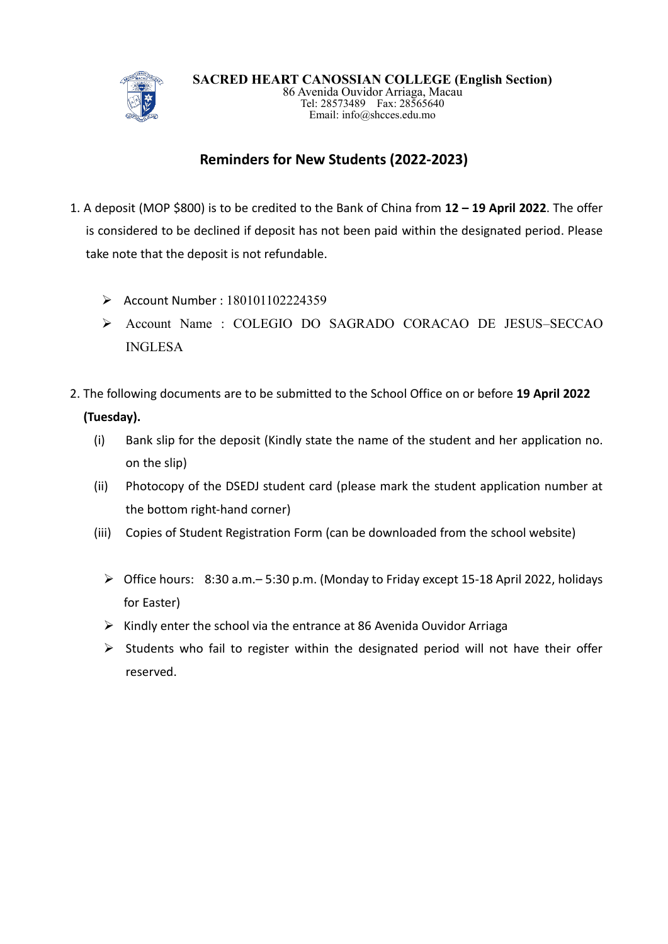

## **Reminders for New Students (2022-2023)**

- 1. A deposit (MOP \$800) is to be credited to the Bank of China from **12 – 19 April 2022**. The offer is considered to be declined if deposit has not been paid within the designated period. Please take note that the deposit is not refundable.
	- ➢ Account Number : 180101102224359
	- ➢ Account Name : COLEGIO DO SAGRADO CORACAO DE JESUS–SECCAO INGLESA
- 2. The following documents are to be submitted to the School Office on or before **19 April 2022 (Tuesday).** 
	- (i) Bank slip for the deposit (Kindly state the name of the student and her application no. on the slip)
	- (ii) Photocopy of the DSEDJ student card (please mark the student application number at the bottom right-hand corner)
	- (iii) Copies of Student Registration Form (can be downloaded from the school website)
		- ➢ Office hours: 8:30 a.m.– 5:30 p.m. (Monday to Friday except 15-18 April 2022, holidays for Easter)
		- ➢ Kindly enter the school via the entrance at 86 Avenida Ouvidor Arriaga
		- $\triangleright$  Students who fail to register within the designated period will not have their offer reserved.